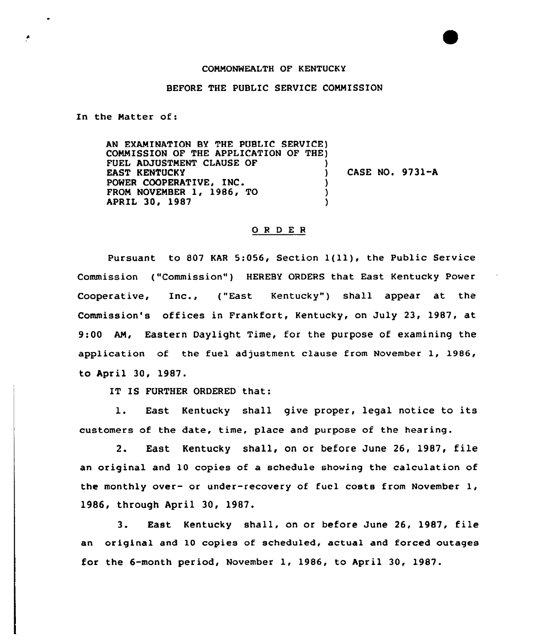## COMMONWEALTH OF KENTUCKY

## BEFORE THE PUBLIC SERVICE COMMISSION

In the Matter of:

AN EXAMINATION BY THE PUBLIC SERVICE) COMMISSION OF THE APPLICATION OF THE) FUEL ADJUSTMENT CLAUSE OF EAST KENTUCKY POWER COOPERATIVE, INC. FROM NOVEMBER 1, 1986, TO (1989) APRIL 30, 1987 ) CASE NO. 9731-A

## 0 <sup>R</sup> <sup>D</sup> E <sup>R</sup>

Pursuant to <sup>807</sup> KAR 5:056, Section l(ll), the Public Service Commission ("Commission") HEREBY ORDERS that East Kentucky Power Cooperative, Inc., ("East Kentucky") shall appear at the Commission's offices in Frankfort, Kentucky, on July 23, 1987, at 9:00 AM, Eastern Daylight Time, for the purpose of examining the application of the fuel adjustment clause from November 1, 1986, to April 30, 1987.

IT IS FURTHER ORDERED that:

l. East Kentucky shall give proper, legal notice to its customers of the date, time, place and purpose of the hearing.

2. East Kentucky shall, on or before June 26, 1987, file an original and 10 copies of a schedule showing the calculation of the monthly over- or under-recovery of fuel costs from November 1, 1986, through April 30, 1987.

3. East Kentucky shall, on or before June 26, 1987, file an original and 10 copies of scheduled, actual and forced outages for the 6-month period, November 1, 1986, to April 30, 1987.